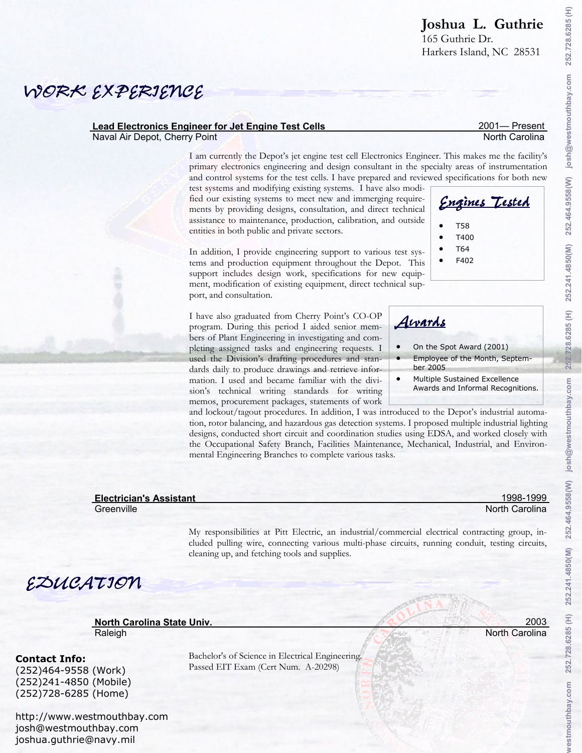2001— Present North Carolina

252.728.6285 (H)

josh@westmouthbay.com

252.464.9558(W)

Harkers Island, NC 28531

## *WORK EXPERIENCE*

#### **Lead Electronics Engineer for Jet Engine Test Cells**

Naval Air Depot, Cherry Point

I am currently the Depot's jet engine test cell Electronics Engineer. This makes me the facility's primary electronics engineering and design consultant in the specialty areas of instrumentation and control systems for the test cells. I have prepared and reviewed specifications for both new

test systems and modifying existing systems. I have also modified our existing systems to meet new and immerging requirements by providing designs, consultation, and direct technical assistance to maintenance, production, calibration, and outside entities in both public and private sectors.

In addition, I provide engineering support to various test systems and production equipment throughout the Depot. This support includes design work, specifications for new equipment, modification of existing equipment, direct technical support, and consultation.

I have also graduated from Cherry Point's CO-OP program. During this period I aided senior members of Plant Engineering in investigating and completing assigned tasks and engineering requests. I used the Division's drafting procedures and standards daily to produce drawings and retrieve information. I used and became familiar with the division's technical writing standards for writing memos, procurement packages, statements of work

and lockout/tagout procedures. In addition, I was introduced to the Depot's industrial automation, rotor balancing, and hazardous gas detection systems. I proposed multiple industrial lighting designs, conducted short circuit and coordination studies using EDSA, and worked closely with the Occupational Safety Branch, Facilities Maintenance, Mechanical, Industrial, and Environmental Engineering Branches to complete various tasks.

| <b>Electrician's Assistant</b> |  |  |
|--------------------------------|--|--|
|                                |  |  |

**Greenville** 

My responsibilities at Pitt Electric, an industrial/commercial electrical contracting group, included pulling wire, connecting various multi-phase circuits, running conduit, testing circuits, cleaning up, and fetching tools and supplies.

# *EDUCATION*

**North Carolina State Univ.**  Raleigh

#### **Contact Info:**

(252)464-9558 (Work) (252)241-4850 (Mobile) (252)728-6285 (Home)

http://www.westmouthbay.com josh@westmouthbay.com joshua.guthrie@navy.mil

Bachelor's of Science in Electrical Engineering. Passed EIT Exam (Cert Num. A-20298)



*Engines Tested*

• F402

• On the Spot Award (2001) *Awards*

- Employee of the Month, September 2005
- Multiple Sustained Excellence Awards and Informal Recognitions.

1998-1999 North Carolina

2003 North Carolina